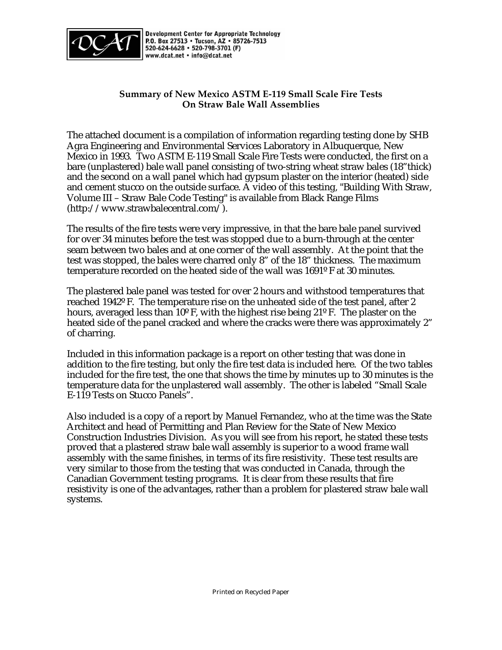

Development Center for Appropriate Technology P.O. Box 27513 . Tucson, AZ . 85726-7513 520-624-6628 · 520-798-3701 (F) www.dcat.net . info@dcat.net

# **Summary of New Mexico ASTM E-119 Small Scale Fire Tests On Straw Bale Wall Assemblies**

The attached document is a compilation of information regarding testing done by SHB Agra Engineering and Environmental Services Laboratory in Albuquerque, New Mexico in 1993. Two ASTM E-119 Small Scale Fire Tests were conducted, the first on a bare (unplastered) bale wall panel consisting of two-string wheat straw bales (18"thick) and the second on a wall panel which had gypsum plaster on the interior (heated) side and cement stucco on the outside surface. A video of this testing, "Building With Straw, Volume III – Straw Bale Code Testing" is available from Black Range Films (http://www.strawbalecentral.com/).

The results of the fire tests were very impressive, in that the bare bale panel survived for over 34 minutes before the test was stopped due to a burn-through at the center seam between two bales and at one corner of the wall assembly. At the point that the test was stopped, the bales were charred only 8" of the 18" thickness. The maximum temperature recorded on the heated side of the wall was 1691º F at 30 minutes.

The plastered bale panel was tested for over 2 hours and withstood temperatures that reached 1942º F. The temperature rise on the unheated side of the test panel, after 2 hours, averaged less than 10º F, with the highest rise being 21º F. The plaster on the heated side of the panel cracked and where the cracks were there was approximately 2" of charring.

Included in this information package is a report on other testing that was done in addition to the fire testing, but only the fire test data is included here. Of the two tables included for the fire test, the one that shows the time by minutes up to 30 minutes is the temperature data for the unplastered wall assembly. The other is labeled "Small Scale E-119 Tests on Stucco Panels".

Also included is a copy of a report by Manuel Fernandez, who at the time was the State Architect and head of Permitting and Plan Review for the State of New Mexico Construction Industries Division. As you will see from his report, he stated these tests proved that a plastered straw bale wall assembly is superior to a wood frame wall assembly with the same finishes, in terms of its fire resistivity. These test results are very similar to those from the testing that was conducted in Canada, through the Canadian Government testing programs. It is clear from these results that fire resistivity is one of the advantages, rather than a problem for plastered straw bale wall systems.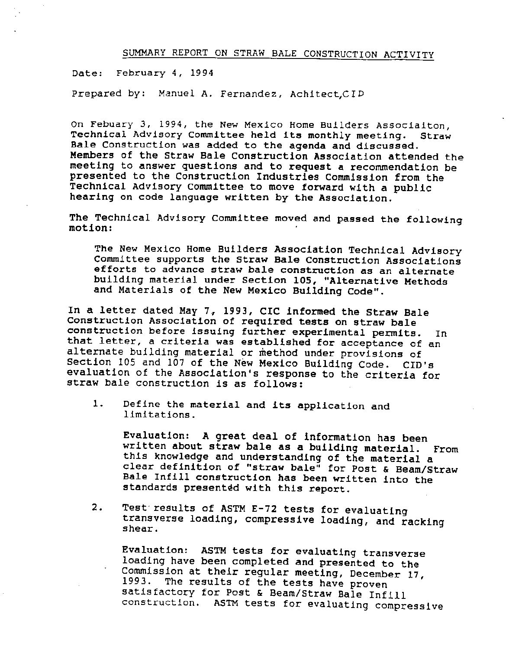# SUMMARY REPORT ON STRAW BALE CONSTRUCTION ACTIVITY

Date: February 4, 1994

Prepared by: Manuel A. Fernandez, Achitect,CID

On Febuary 3, 1994, the New Mexico Home Builders Associaiton, Technical Advisory Committee held its monthly meeting. Straw Bale Construction was added to the agenda and discussed. Members of the Straw Bale Construction Association attended the meeting to answer questions and to request a recommendation be presented to the Construction Industries Commission from the Technical Advisory Committee to move forward with a public hearing on code language written by the Association.

The Technical Advisory Committee moved and passed the following motion:

The New Mexico Home Builders Association Technical Advisory Committee supports the Straw Bale Construction Associations efforts to advance straw bale construction as an alternate building material under Section 105, "Alternative Methods and Materials of the New Mexico Building Code".

In a letter dated May 7, 1993, CIC informed the Straw Bale Construction Association of required tests on straw bale construction before issuing further experimental permits. In that letter, a criteria was established for acceptance of an alternate building material or method under provisions of Section 105 and 107 of the New Mexico Building Code. CID's evaluation of the Association's response to the criteria for straw bale construction is as follows:

 $1.$ Define the material and its application and limitations.

Evaluation: A great deal of information has been written about straw bale as a building material. From this knowledge and understanding of the material a clear definition of "straw bale" for Post & Beam/Straw Bale Infill construction has been written into the standards presented with this report.

 $2.$ Test results of ASTM E-72 tests for evaluating transverse loading, compressive loading, and racking shear.

Evaluation: ASTM tests for evaluating transverse loading have been completed and presented to the Commission at their regular meeting, December 17, The results of the tests have proven 1993. satisfactory for Post & Beam/Straw Bale Infill construction. ASTM tests for evaluating compressive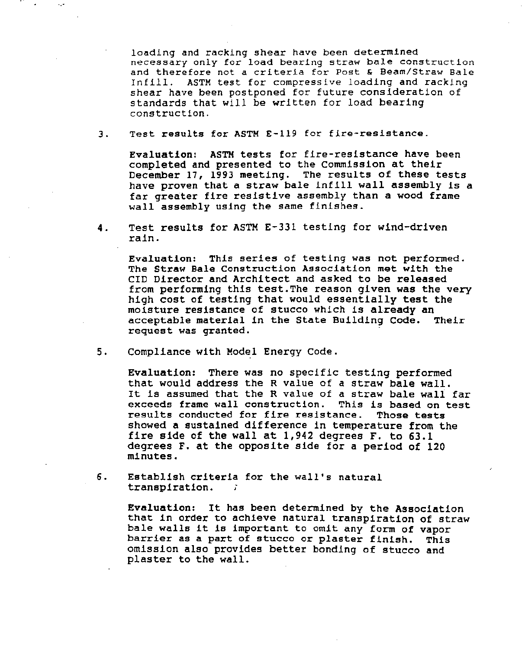loading and racking shear have been determined necessary only for load bearing straw bale construction and therefore not a criteria for Post & Beam/Straw Bale Infill. ASTM test for compressive loading and racking shear have been postponed for future consideration of standards that will be written for load bearing construction.

Test results for ASTM E-119 for fire-resistance. 3.

Evaluation: ASTM tests for fire-resistance have been completed and presented to the Commission at their December 17, 1993 meeting. The results of these tests have proven that a straw bale infill wall assembly is a far greater fire resistive assembly than a wood frame wall assembly using the same finishes.

Test results for ASTM E-331 testing for wind-driven 4. rain.

Evaluation: This series of testing was not performed. The Straw Bale Construction Association met with the CID Director and Architect and asked to be released from performing this test. The reason given was the very high cost of testing that would essentially test the moisture resistance of stucco which is already an acceptable material in the State Building Code. Their request was granted.

5. Compliance with Model Energy Code.

> Evaluation: There was no specific testing performed that would address the R value of a straw bale wall. It is assumed that the R value of a straw bale wall far exceeds frame wall construction. This is based on test results conducted for fire resistance. Those tests showed a sustained difference in temperature from the fire side of the wall at 1,942 degrees F. to 63.1 degrees F. at the opposite side for a period of 120 minutes.

6. Establish criteria for the wall's natural transpiration. -č

> Evaluation: It has been determined by the Association that in order to achieve natural transpiration of straw bale walls it is important to omit any form of vapor barrier as a part of stucco or plaster finish. This omission also provides better bonding of stucco and plaster to the wall.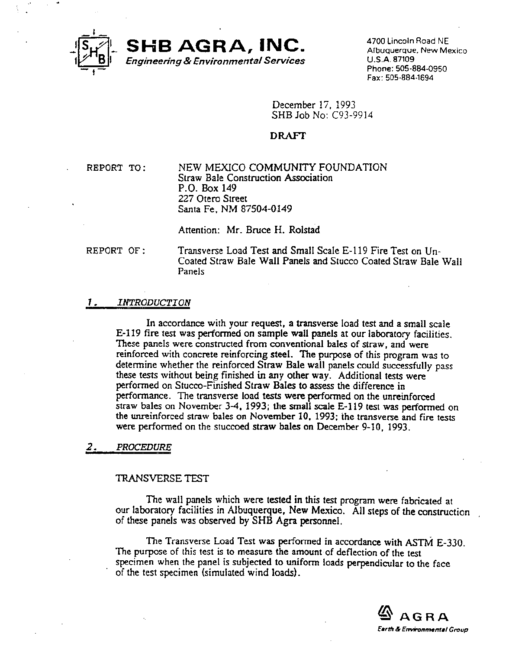

4700 Lincoln Road NE Albuquerque, New Mexico U.S.A. 87109 Phone: 505-884-0950 Fax: 505-884-1694

December 17, 1993 SHB Job No: C93-9914

## **DRAFT**

REPORT TO:

NEW MEXICO COMMUNITY FOUNDATION Straw Bale Construction Association P.O. Box 149 227 Otero Street Santa Fe, NM 87504-0149

Attention: Mr. Bruce H. Rolstad

### REPORT OF:

Transverse Load Test and Small Scale E-119 Fire Test on Un-Coated Straw Bale Wall Panels and Stucco Coated Straw Bale Wall Panels

### **INTRODUCTION** 1.

In accordance with your request, a transverse load test and a small scale E-119 fire test was performed on sample wall panels at our laboratory facilities. These panels were constructed from conventional bales of straw, and were reinforced with concrete reinforcing steel. The purpose of this program was to determine whether the reinforced Straw Bale wall panels could successfully pass these tests without being finished in any other way. Additional tests were performed on Stucco-Finished Straw Bales to assess the difference in performance. The transverse load tests were performed on the unreinforced straw bales on November 3-4, 1993; the small scale E-119 test was performed on the unreinforced straw bales on November 10, 1993; the transverse and fire tests were performed on the stuccoed straw bales on December 9-10, 1993.

### 2. **PROCEDURE**

## TRANSVERSE TEST

The wall panels which were tested in this test program were fabricated at our laboratory facilities in Albuquerque, New Mexico. All steps of the construction of these panels was observed by SHB Agra personnel.

The Transverse Load Test was performed in accordance with ASTM E-330. The purpose of this test is to measure the amount of deflection of the test specimen when the panel is subjected to uniform loads perpendicular to the face of the test specimen (simulated wind loads).

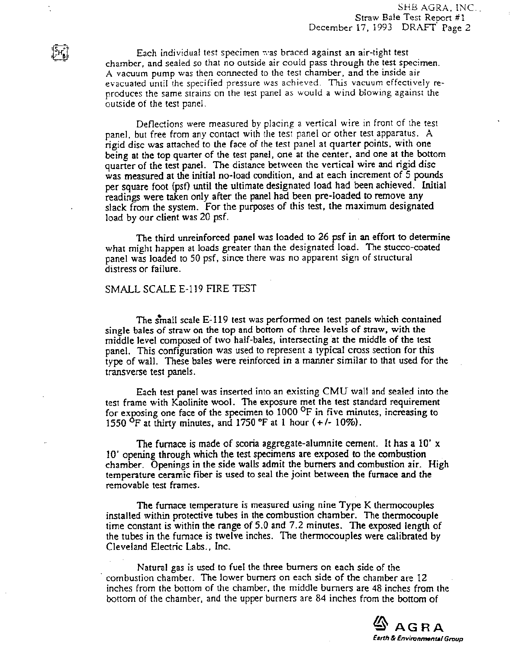Each individual test specimen was braced against an air-tight test chamber, and sealed so that no outside air could pass through the test specimen. A vacuum pump was then connected to the test chamber, and the inside air evacuated until the specified pressure was achieved. This vacuum effectively reproduces the same strains on the test panel as would a wind blowing against the outside of the test panel.

Deflections were measured by placing a vertical wire in front of the test panel, but free from any contact with the test panel or other test apparatus. A rigid disc was attached to the face of the test panel at quarter points, with one being at the top quarter of the test panel, one at the center, and one at the bottom quarter of the test panel. The distance between the vertical wire and rigid disc was measured at the initial no-load condition, and at each increment of 5 pounds per square foot (psf) until the ultimate designated load had been achieved. Initial readings were taken only after the panel had been pre-loaded to remove any slack from the system. For the purposes of this test, the maximum designated load by our client was 20 psf.

The third unreinforced panel was loaded to 26 psf in an effort to determine what might happen at loads greater than the designated load. The stucco-coated panel was loaded to 50 psf, since there was no apparent sign of structural distress or failure.

### SMALL SCALE E-119 FIRE TEST

The small scale E-119 test was performed on test panels which contained single bales of straw on the top and bottom of three levels of straw, with the middle level composed of two half-bales, intersecting at the middle of the test panel. This configuration was used to represent a typical cross section for this type of wall. These bales were reinforced in a manner similar to that used for the transverse test panels.

Each test panel was inserted into an existing CMU wall and sealed into the test frame with Kaolinite wool. The exposure met the test standard requirement for exposing one face of the specimen to  $1000$  <sup>O</sup>F in five minutes, increasing to 1550 <sup>O</sup>F at thirty minutes, and 1750 <sup>o</sup>F at 1 hour (+/- 10%).

The furnace is made of scoria aggregate-alumnite cement. It has a  $10' x$ 10' opening through which the test specimens are exposed to the combustion chamber. Openings in the side walls admit the burners and combustion air. High temperature ceramic fiber is used to seal the joint between the furnace and the removable test frames.

The furnace temperature is measured using nine Type K thermocouples installed within protective tubes in the combustion chamber. The thermocouple time constant is within the range of 5.0 and 7.2 minutes. The exposed length of the tubes in the furnace is twelve inches. The thermocouples were calibrated by Cleveland Electric Labs., Inc.

Natural gas is used to fuel the three burners on each side of the combustion chamber. The lower burners on each side of the chamber are 12 inches from the bottom of the chamber, the middle burners are 48 inches from the bottom of the chamber, and the upper burners are 84 inches from the bottom of

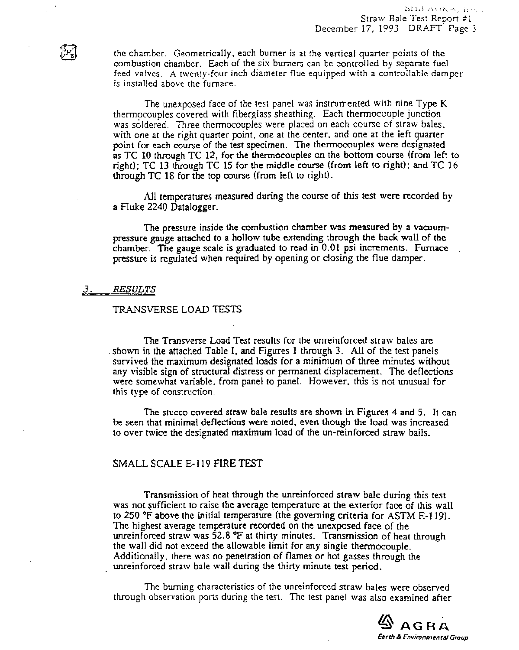the chamber. Geometrically, each burner is at the vertical quarter points of the combustion chamber. Each of the six burners can be controlled by separate fuel feed valves. A twenty-four inch diameter flue equipped with a controllable damper is installed above the furnace.

The unexposed face of the test panel was instrumented with nine Type K thermocouples covered with fiberglass sheathing. Each thermocouple junction was soldered. Three thermocouples were placed on each course of straw bales, with one at the right quarter point, one at the center, and one at the left quarter point for each course of the test specimen. The thermocouples were designated as TC 10 through TC 12, for the thermocouples on the bottom course (from left to right); TC 13 through TC 15 for the middle course (from left to right); and TC 16 through TC 18 for the top course (from left to right).

All temperatures measured during the course of this test were recorded by a Fluke 2240 Datalogger.

The pressure inside the combustion chamber was measured by a vacuumpressure gauge attached to a hollow tube extending through the back wall of the chamber. The gauge scale is graduated to read in  $0.01$  psi increments. Furnace pressure is regulated when required by opening or closing the flue damper.

### **RESULTS** 3.

### TRANSVERSE LOAD TESTS

The Transverse Load Test results for the unreinforced straw bales are shown in the attached Table I, and Figures 1 through 3. All of the test panels survived the maximum designated loads for a minimum of three minutes without any visible sign of structural distress or permanent displacement. The deflections were somewhat variable, from panel to panel. However, this is not unusual for this type of construction.

The stucco covered straw bale results are shown in Figures 4 and 5. It can be seen that minimal deflections were noted, even though the load was increased to over twice the designated maximum load of the un-reinforced straw bails.

# SMALL SCALE E-119 FIRE TEST

Transmission of heat through the unreinforced straw bale during this test was not sufficient to raise the average temperature at the exterior face of this wall to 250  $\degree$ F above the initial temperature (the governing criteria for ASTM E-119). The highest average temperature recorded on the unexposed face of the unreinforced straw was 52.8 °F at thirty minutes. Transmission of heat through the wall did not exceed the allowable limit for any single thermocouple. Additionally, there was no penetration of flames or hot gasses through the unreinforced straw bale wall during the thirty minute test period.

The burning characteristics of the unreinforced straw bales were observed through observation ports during the test. The test panel was also examined after

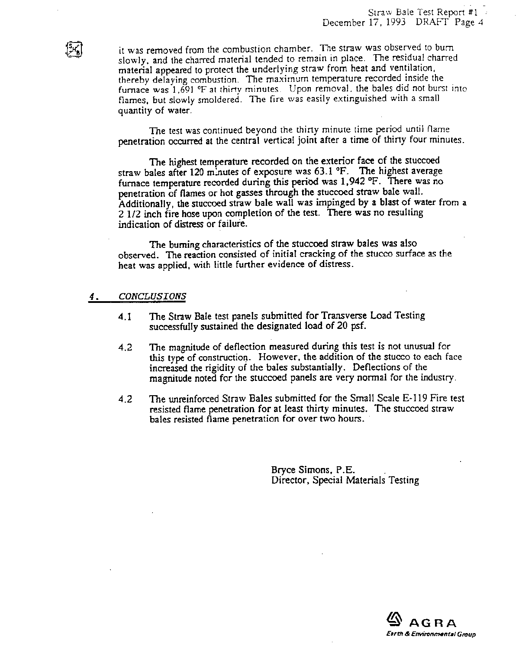it was removed from the combustion chamber. The straw was observed to burn slowly, and the charred material tended to remain in place. The residual charred material appeared to protect the underlying straw from heat and ventilation, thereby delaying combustion. The maximum temperature recorded inside the furnace was 1,691 °F at thirty minutes. Upon removal, the bales did not burst into flames, but slowly smoldered. The fire was easily extinguished with a small quantity of water.

The test was continued beyond the thirty minute time period until flame penetration occurred at the central vertical joint after a time of thirty four minutes.

The highest temperature recorded on the exterior face of the stuccoed straw bales after 120 minutes of exposure was 63.1 °F. The highest average furnace temperature recorded during this period was 1,942 °F. There was no penetration of flames or hot gasses through the stuccoed straw bale wall. Additionally, the stuccoed straw bale wall was impinged by a blast of water from a 2 1/2 inch fire hose upon completion of the test. There was no resulting indication of distress or failure.

The burning characteristics of the stuccoed straw bales was also observed. The reaction consisted of initial cracking of the stucco surface as the heat was applied, with little further evidence of distress.

### **CONCLUSIONS** 4.

- The Straw Bale test panels submitted for Transverse Load Testing  $4.1$ successfully sustained the designated load of 20 psf.
- The magnitude of deflection measured during this test is not unusual for  $4.2$ this type of construction. However, the addition of the stucco to each face increased the rigidity of the bales substantially. Deflections of the magnitude noted for the stuccoed panels are very normal for the industry.
- $4.2$ The unreinforced Straw Bales submitted for the Small Scale E-119 Fire test resisted flame penetration for at least thirty minutes. The stuccoed straw bales resisted flame penetration for over two hours.

Bryce Simons, P.E. Director, Special Materials Testing

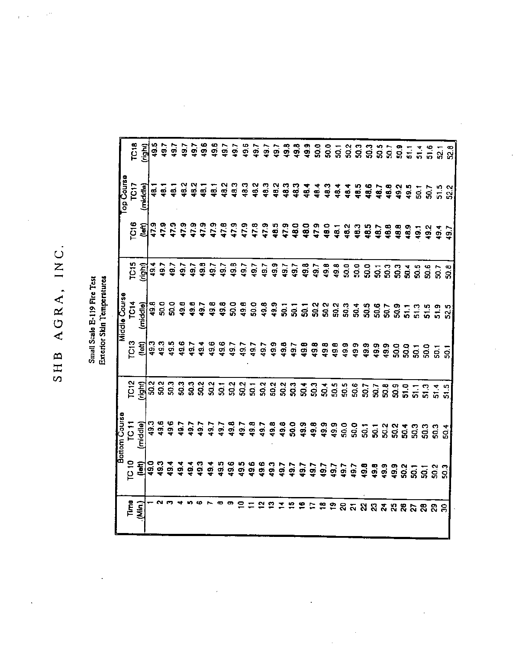# SHB AGRA, INC.

# Small Scale E-119 Fire Test<br>Exterior Sidn Temperatures

|                         |                  | Bottom Course        |                  | Middle Course             |               |                                                                         | op Course                        |                  |
|-------------------------|------------------|----------------------|------------------|---------------------------|---------------|-------------------------------------------------------------------------|----------------------------------|------------------|
| $T^{re}_{(Mh)}$         | TC 10<br>_[left] | TO <sub>11</sub>     | ro <sub>13</sub> | TC <sub>14</sub>          | TC15<br>Light | C <sub>16</sub>                                                         | TOT                              | TC <sub>18</sub> |
|                         |                  | middle)              | (left            | (middle)                  |               | (left)                                                                  | (middle)                         | 회<br>인           |
|                         |                  |                      |                  |                           |               |                                                                         |                                  | 49.5             |
| - 20                    |                  | 0.96<br>0.96<br>0.97 |                  |                           | 49.7          |                                                                         |                                  |                  |
|                         |                  |                      |                  | စ္၀၀ စစ္ဂ<br>၁၉၉ ခု ခု ခု | 49.7          |                                                                         | ភូតូ ក្នុង<br><b>ឆ្</b> ឆ្ ឆ្ ឆ្ | 49.7<br>49.7     |
|                         |                  | $\frac{1}{9}$        |                  |                           | 49.7          |                                                                         |                                  |                  |
|                         |                  | 49.7<br>49.7         |                  |                           | 49.7          |                                                                         | 48.2                             |                  |
|                         |                  |                      |                  |                           | 49.8          |                                                                         | ङ्                               |                  |
|                         |                  | 49.7                 |                  | 49.8                      | 49.7          |                                                                         | $\frac{1}{4}$                    |                  |
|                         |                  |                      |                  |                           |               |                                                                         | 48.2                             |                  |
|                         |                  |                      |                  |                           | 49.7<br>49.8  |                                                                         |                                  |                  |
| wersoppherenserspandate |                  |                      |                  |                           |               |                                                                         |                                  |                  |
|                         |                  |                      |                  |                           | 49.7          |                                                                         |                                  |                  |
|                         |                  |                      |                  |                           | 49.7          |                                                                         |                                  |                  |
|                         |                  |                      |                  |                           |               |                                                                         |                                  |                  |
|                         |                  |                      |                  |                           |               |                                                                         |                                  |                  |
|                         |                  |                      |                  |                           |               |                                                                         |                                  |                  |
|                         |                  |                      |                  |                           |               |                                                                         |                                  |                  |
|                         |                  |                      |                  |                           |               |                                                                         |                                  |                  |
|                         |                  |                      |                  |                           |               |                                                                         |                                  |                  |
|                         |                  |                      |                  |                           |               |                                                                         |                                  |                  |
|                         |                  |                      |                  |                           |               |                                                                         |                                  |                  |
|                         |                  |                      |                  |                           |               |                                                                         |                                  |                  |
|                         |                  |                      |                  |                           |               |                                                                         |                                  |                  |
|                         |                  |                      |                  |                           |               |                                                                         |                                  |                  |
|                         |                  |                      |                  |                           |               |                                                                         |                                  |                  |
|                         |                  |                      |                  |                           |               |                                                                         |                                  |                  |
|                         |                  |                      |                  |                           |               |                                                                         |                                  |                  |
|                         |                  |                      |                  |                           |               |                                                                         |                                  |                  |
|                         |                  |                      |                  |                           |               |                                                                         |                                  |                  |
|                         |                  |                      |                  |                           |               | 4 イイトイムイントイムインの中でも、それをおおおおものもおいけい。それはイントの中で、そのようなおおおおおおおおおものも、それはおおものは、 |                                  |                  |
|                         |                  |                      |                  |                           |               |                                                                         |                                  |                  |